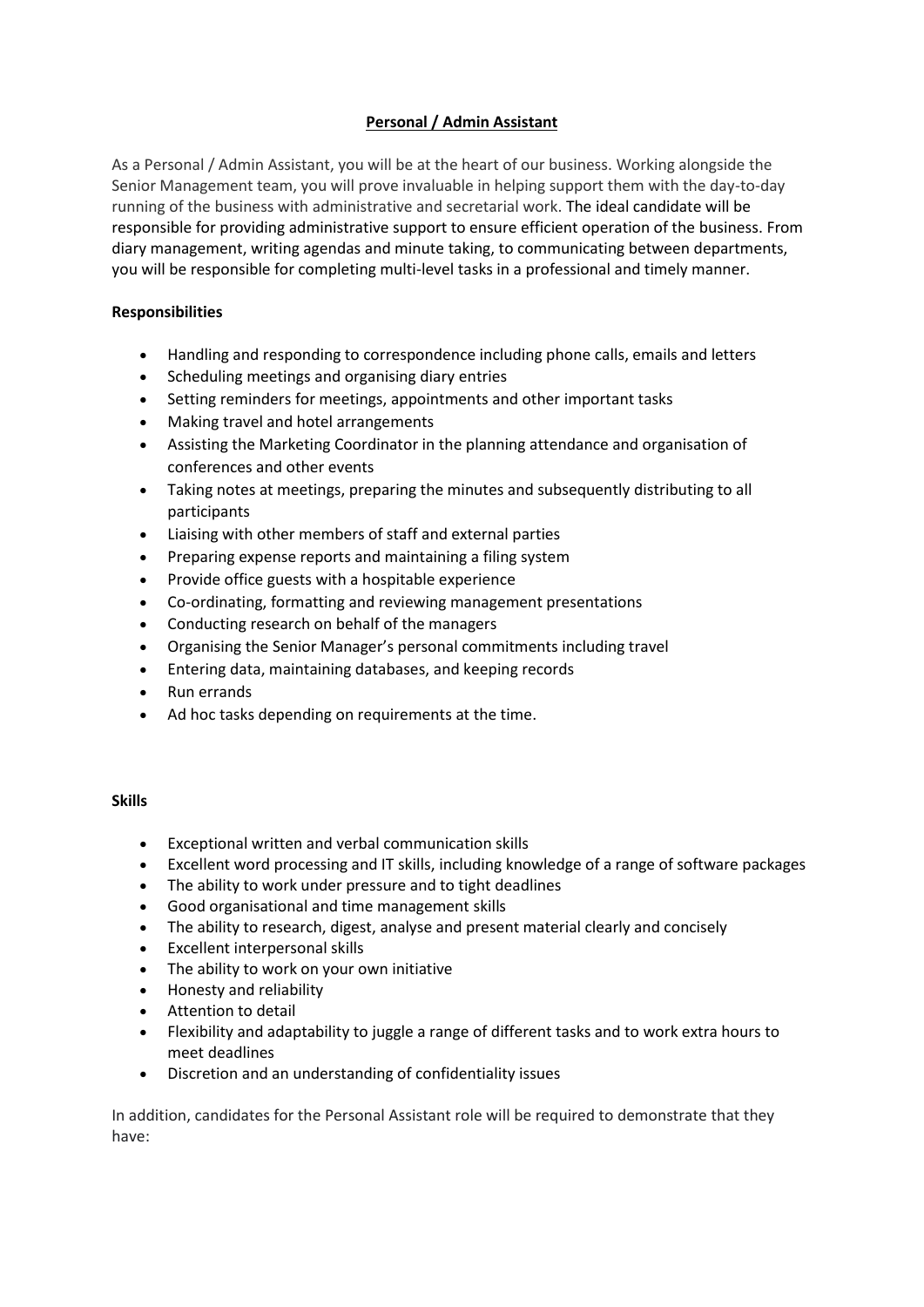## **Personal / Admin Assistant**

As a Personal / Admin Assistant, you will be at the heart of our business. Working alongside the Senior Management team, you will prove invaluable in helping support them with the day-to-day running of the business with administrative and secretarial work. The ideal candidate will be responsible for providing administrative support to ensure efficient operation of the business. From diary management, writing agendas and minute taking, to communicating between departments, you will be responsible for completing multi-level tasks in a professional and timely manner.

## **Responsibilities**

- Handling and responding to correspondence including phone calls, emails and letters
- Scheduling meetings and organising diary entries
- Setting reminders for meetings, appointments and other important tasks
- Making travel and hotel arrangements
- Assisting the Marketing Coordinator in the planning attendance and organisation of conferences and other events
- Taking notes at meetings, preparing the minutes and subsequently distributing to all participants
- Liaising with other members of staff and external parties
- Preparing expense reports and maintaining a filing system
- Provide office guests with a hospitable experience
- Co-ordinating, formatting and reviewing management presentations
- Conducting research on behalf of the managers
- Organising the Senior Manager's personal commitments including travel
- Entering data, maintaining databases, and keeping records
- Run errands
- Ad hoc tasks depending on requirements at the time.

## **Skills**

- Exceptional written and verbal communication skills
- Excellent word processing and IT skills, including knowledge of a range of software packages
- The ability to work under pressure and to tight deadlines
- Good organisational and time management skills
- The ability to research, digest, analyse and present material clearly and concisely
- Excellent interpersonal skills
- The ability to work on your own initiative
- Honesty and reliability
- Attention to detail
- Flexibility and adaptability to juggle a range of different tasks and to work extra hours to meet deadlines
- Discretion and an understanding of confidentiality issues

In addition, candidates for the Personal Assistant role will be required to demonstrate that they have: